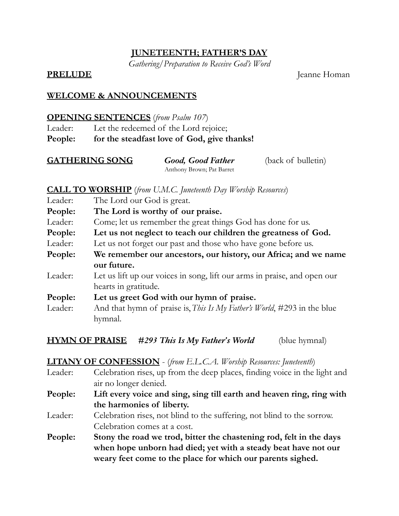## **JUNETEENTH; FATHER'S DAY**

*Gathering/Preparation to Receive God's Word*

**PRELUDE** Jeanne Homan

## **WELCOME & ANNOUNCEMENTS**

#### **OPENING SENTENCES** (*from Psalm 107*)

Leader: Let the redeemed of the Lord rejoice; **People: for the steadfast love of God, give thanks!**

| <b>GATHERING SONG</b> | <b>Good, Good Father</b>  | (back of bulletin) |
|-----------------------|---------------------------|--------------------|
|                       | Anthony Brown; Pat Barret |                    |

## **CALL TO WORSHIP** (*from U.M.C. Juneteenth Day Worship Resources*)

| Leader: | The Lord our God is great.                                                      |  |
|---------|---------------------------------------------------------------------------------|--|
| People: | The Lord is worthy of our praise.                                               |  |
| Leader: | Come; let us remember the great things God has done for us.                     |  |
| People: | Let us not neglect to teach our children the greatness of God.                  |  |
| Leader: | Let us not forget our past and those who have gone before us.                   |  |
| People: | We remember our ancestors, our history, our Africa; and we name                 |  |
|         | our future.                                                                     |  |
| Leader: | Let us lift up our voices in song, lift our arms in praise, and open our        |  |
|         | hearts in gratitude.                                                            |  |
| People: | Let us greet God with our hymn of praise.                                       |  |
| Leader: | And that hymn of praise is, <i>This Is My Father's World</i> , #293 in the blue |  |
|         | hymnal.                                                                         |  |
|         |                                                                                 |  |

**HYMN OF PRAISE** *#293 This Is My Father's World* (blue hymnal)

### **LITANY OF CONFESSION** - (*from E.L.C.A. Worship Resources: Juneteenth*)

Leader: Celebration rises, up from the deep places, finding voice in the light and air no longer denied. **People: Lift every voice and sing, sing till earth and heaven ring, ring with the harmonies of liberty.** Leader: Celebration rises, not blind to the suffering, not blind to the sorrow. Celebration comes at a cost. **People: Stony the road we trod, bitter the chastening rod, felt in the days when hope unborn had died; yet with a steady beat have not our weary feet come to the place for which our parents sighed.**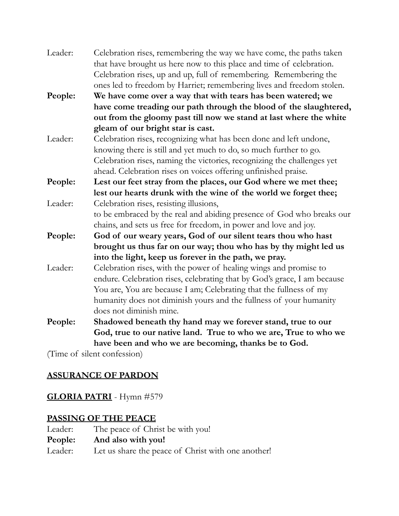| Leader: | Celebration rises, remembering the way we have come, the paths taken     |
|---------|--------------------------------------------------------------------------|
|         | that have brought us here now to this place and time of celebration.     |
|         | Celebration rises, up and up, full of remembering. Remembering the       |
|         | ones led to freedom by Harriet; remembering lives and freedom stolen.    |
| People: | We have come over a way that with tears has been watered; we             |
|         | have come treading our path through the blood of the slaughtered,        |
|         | out from the gloomy past till now we stand at last where the white       |
|         | gleam of our bright star is cast.                                        |
| Leader: | Celebration rises, recognizing what has been done and left undone,       |
|         | knowing there is still and yet much to do, so much further to go.        |
|         | Celebration rises, naming the victories, recognizing the challenges yet  |
|         | ahead. Celebration rises on voices offering unfinished praise.           |
| People: | Lest our feet stray from the places, our God where we met thee;          |
|         | lest our hearts drunk with the wine of the world we forget thee;         |
| Leader: | Celebration rises, resisting illusions,                                  |
|         | to be embraced by the real and abiding presence of God who breaks our    |
|         | chains, and sets us free for freedom, in power and love and joy.         |
| People: | God of our weary years, God of our silent tears thou who hast            |
|         | brought us thus far on our way; thou who has by thy might led us         |
|         | into the light, keep us forever in the path, we pray.                    |
| Leader: | Celebration rises, with the power of healing wings and promise to        |
|         | endure. Celebration rises, celebrating that by God's grace, I am because |
|         | You are, You are because I am; Celebrating that the fullness of my       |
|         | humanity does not diminish yours and the fullness of your humanity       |
|         | does not diminish mine.                                                  |
| People: | Shadowed beneath thy hand may we forever stand, true to our              |
|         | God, true to our native land. True to who we are, True to who we         |
|         | have been and who we are becoming, thanks be to God.                     |
|         | (Time of client configuration)                                           |

(Time of silent confession)

## **ASSURANCE OF PARDON**

# **GLORIA PATRI** - Hymn #579

## **PASSING OF THE PEACE**

| Leader: | The peace of Christ be with you!                   |
|---------|----------------------------------------------------|
|         | People: And also with you!                         |
| Leader: | Let us share the peace of Christ with one another! |